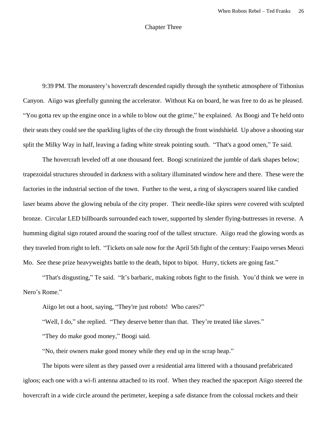## Chapter Three

9:39 PM. The monastery's hovercraft descended rapidly through the synthetic atmosphere of Tithonius Canyon. Aiigo was gleefully gunning the accelerator. Without Ka on board, he was free to do as he pleased. "You gotta rev up the engine once in a while to blow out the grime," he explained. As Boogi and Te held onto their seats they could see the sparkling lights of the city through the front windshield. Up above a shooting star split the Milky Way in half, leaving a fading white streak pointing south. "That's a good omen," Te said.

The hovercraft leveled off at one thousand feet. Boogi scrutinized the jumble of dark shapes below; trapezoidal structures shrouded in darkness with a solitary illuminated window here and there. These were the factories in the industrial section of the town. Further to the west, a ring of skyscrapers soared like candied laser beams above the glowing nebula of the city proper. Their needle-like spires were covered with sculpted bronze. Circular LED billboards surrounded each tower, supported by slender flying-buttresses in reverse. A humming digital sign rotated around the soaring roof of the tallest structure. Aiigo read the glowing words as they traveled from right to left. "Tickets on sale now for the April 5th fight of the century: Faaipo verses Meozi Mo. See these prize heavyweights battle to the death, bipot to bipot. Hurry, tickets are going fast."

"That's disgusting," Te said. "It's barbaric, making robots fight to the finish. You'd think we were in Nero's Rome."

Aiigo let out a hoot, saying, "They're just robots! Who cares?"

"Well, I do," she replied. "They deserve better than that. They're treated like slaves."

"They do make good money," Boogi said.

"No, their owners make good money while they end up in the scrap heap."

The bipots were silent as they passed over a residential area littered with a thousand prefabricated igloos; each one with a wi-fi antenna attached to its roof. When they reached the spaceport Aiigo steered the hovercraft in a wide circle around the perimeter, keeping a safe distance from the colossal rockets and their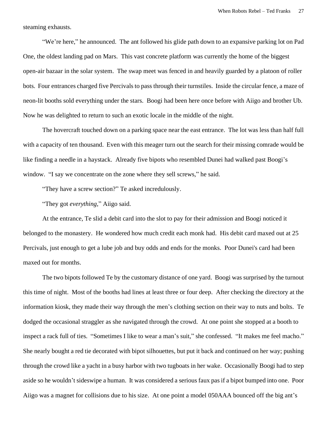steaming exhausts.

"We're here," he announced. The ant followed his glide path down to an expansive parking lot on Pad One, the oldest landing pad on Mars. This vast concrete platform was currently the home of the biggest open-air bazaar in the solar system. The swap meet was fenced in and heavily guarded by a platoon of roller bots. Four entrances charged five Percivals to pass through their turnstiles. Inside the circular fence, a maze of neon-lit booths sold everything under the stars. Boogi had been here once before with Aiigo and brother Ub. Now he was delighted to return to such an exotic locale in the middle of the night.

The hovercraft touched down on a parking space near the east entrance. The lot was less than half full with a capacity of ten thousand. Even with this meager turn out the search for their missing comrade would be like finding a needle in a haystack. Already five bipots who resembled Dunei had walked past Boogi's window. "I say we concentrate on the zone where they sell screws," he said.

"They have a screw section?" Te asked incredulously.

"They got *everything*," Aiigo said.

At the entrance, Te slid a debit card into the slot to pay for their admission and Boogi noticed it belonged to the monastery. He wondered how much credit each monk had. His debit card maxed out at 25 Percivals, just enough to get a lube job and buy odds and ends for the monks. Poor Dunei's card had been maxed out for months.

The two bipots followed Te by the customary distance of one yard. Boogi was surprised by the turnout this time of night. Most of the booths had lines at least three or four deep. After checking the directory at the information kiosk, they made their way through the men's clothing section on their way to nuts and bolts. Te dodged the occasional straggler as she navigated through the crowd. At one point she stopped at a booth to inspect a rack full of ties. "Sometimes I like to wear a man's suit," she confessed. "It makes me feel macho." She nearly bought a red tie decorated with bipot silhouettes, but put it back and continued on her way; pushing through the crowd like a yacht in a busy harbor with two tugboats in her wake. Occasionally Boogi had to step aside so he wouldn't sideswipe a human. It was considered a serious faux pas if a bipot bumped into one. Poor Aiigo was a magnet for collisions due to his size. At one point a model 050AAA bounced off the big ant's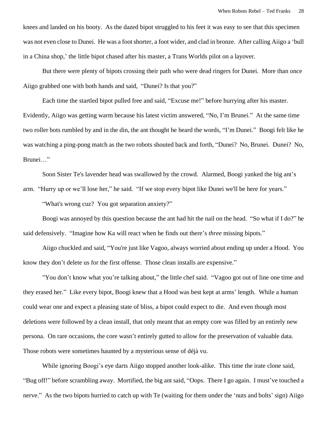knees and landed on his booty. As the dazed bipot struggled to his feet it was easy to see that this specimen was not even close to Dunei. He was a foot shorter, a foot wider, and clad in bronze. After calling Aiigo a 'bull in a China shop,' the little bipot chased after his master, a Trans Worlds pilot on a layover.

But there were plenty of bipots crossing their path who were dead ringers for Dunei. More than once Aiigo grabbed one with both hands and said, "Dunei? Is that you?"

Each time the startled bipot pulled free and said, "Excuse me!" before hurrying after his master. Evidently, Aiigo was getting warm because his latest victim answered, "No, I'm Brunei." At the same time two roller bots rumbled by and in the din, the ant thought he heard the words, "I'm Dunei." Boogi felt like he was watching a ping-pong match as the two robots shouted back and forth, "Dunei? No, Brunei. Dunei? No, Brunei…"

Soon Sister Te's lavender head was swallowed by the crowd. Alarmed, Boogi yanked the big ant's arm. "Hurry up or we'll lose her," he said. "If we stop every bipot like Dunei we'll be here for years."

"What's wrong cuz? You got separation anxiety?"

Boogi was annoyed by this question because the ant had hit the nail on the head. "So what if I do?" he said defensively. "Imagine how Ka will react when he finds out there's *three* missing bipots."

Aiigo chuckled and said, "You're just like Vagoo, always worried about ending up under a Hood. You know they don't delete us for the first offense. Those clean installs are expensive."

"You don't know what you're talking about," the little chef said. "Vagoo got out of line one time and they erased her." Like every bipot, Boogi knew that a Hood was best kept at arms' length. While a human could wear one and expect a pleasing state of bliss, a bipot could expect to die. And even though most deletions were followed by a clean install, that only meant that an empty core was filled by an entirely new persona. On rare occasions, the core wasn't entirely gutted to allow for the preservation of valuable data. Those robots were sometimes haunted by a mysterious sense of déjà vu.

While ignoring Boogi's eye darts Aiigo stopped another look-alike. This time the irate clone said, "Bug off!" before scrambling away. Mortified, the big ant said, "Oops. There I go again. I must've touched a nerve." As the two bipots hurried to catch up with Te (waiting for them under the 'nuts and bolts' sign) Aiigo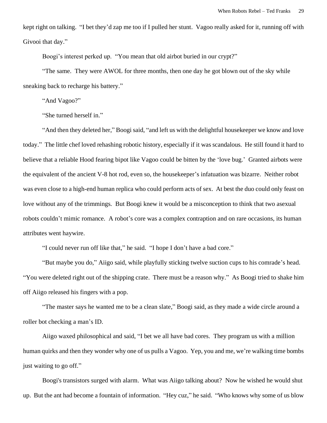kept right on talking. "I bet they'd zap me too if I pulled her stunt. Vagoo really asked for it, running off with Givooi that day."

Boogi's interest perked up. "You mean that old airbot buried in our crypt?"

"The same. They were AWOL for three months, then one day he got blown out of the sky while sneaking back to recharge his battery."

"And Vagoo?"

"She turned herself in."

"And then they deleted her," Boogi said, "and left us with the delightful housekeeper we know and love today." The little chef loved rehashing robotic history, especially if it was scandalous. He still found it hard to believe that a reliable Hood fearing bipot like Vagoo could be bitten by the 'love bug.' Granted airbots were the equivalent of the ancient V-8 hot rod, even so, the housekeeper's infatuation was bizarre. Neither robot was even close to a high-end human replica who could perform acts of sex. At best the duo could only feast on love without any of the trimmings. But Boogi knew it would be a misconception to think that two asexual robots couldn't mimic romance. A robot's core was a complex contraption and on rare occasions, its human attributes went haywire.

"I could never run off like that," he said. "I hope I don't have a bad core."

"But maybe you do," Aiigo said, while playfully sticking twelve suction cups to his comrade's head. "You were deleted right out of the shipping crate. There must be a reason why." As Boogi tried to shake him off Aiigo released his fingers with a pop.

"The master says he wanted me to be a clean slate," Boogi said, as they made a wide circle around a roller bot checking a man's ID.

Aiigo waxed philosophical and said, "I bet we all have bad cores. They program us with a million human quirks and then they wonder why one of us pulls a Vagoo. Yep, you and me, we're walking time bombs just waiting to go off."

Boogi's transistors surged with alarm. What was Aiigo talking about? Now he wished he would shut up. But the ant had become a fountain of information. "Hey cuz," he said. "Who knows why some of us blow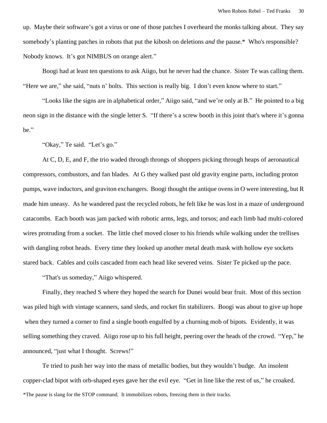up. Maybe their software's got a virus or one of those patches I overheard the monks talking about. They say somebody's planting patches in robots that put the kibosh on deletions *and* the pause.\* Who's responsible? Nobody knows. It's got NIMBUS on orange alert."

Boogi had at least ten questions to ask Aiigo, but he never had the chance. Sister Te was calling them. "Here we are," she said, "nuts n' bolts. This section is really big. I don't even know where to start."

"Looks like the signs are in alphabetical order," Aiigo said, "and we're only at B." He pointed to a big neon sign in the distance with the single letter S. "If there's a screw booth in this joint that's where it's gonna be."

"Okay," Te said. "Let's go."

At C, D, E, and F, the trio waded through throngs of shoppers picking through heaps of aeronautical compressors, combustors, and fan blades. At G they walked past old gravity engine parts, including proton pumps, wave inductors, and graviton exchangers. Boogi thought the antique ovens in O were interesting, but R made him uneasy. As he wandered past the recycled robots, he felt like he was lost in a maze of underground catacombs. Each booth was jam packed with robotic arms, legs, and torsos; and each limb had multi-colored wires protruding from a socket. The little chef moved closer to his friends while walking under the trellises with dangling robot heads. Every time they looked up another metal death mask with hollow eye sockets stared back. Cables and coils cascaded from each head like severed veins. Sister Te picked up the pace.

"That's us someday," Aiigo whispered.

Finally, they reached S where they hoped the search for Dunei would bear fruit. Most of this section was piled high with vintage scanners, sand sleds, and rocket fin stabilizers. Boogi was about to give up hope when they turned a corner to find a single booth engulfed by a churning mob of bipots. Evidently, it was selling something they craved. Aiigo rose up to his full height, peering over the heads of the crowd. "Yep," he announced, "just what I thought. Screws!"

Te tried to push her way into the mass of metallic bodies, but they wouldn't budge. An insolent copper-clad bipot with orb-shaped eyes gave her the evil eye. "Get in line like the rest of us," he croaked. \*The pause is slang for the STOP command. It immobilizes robots, freezing them in their tracks.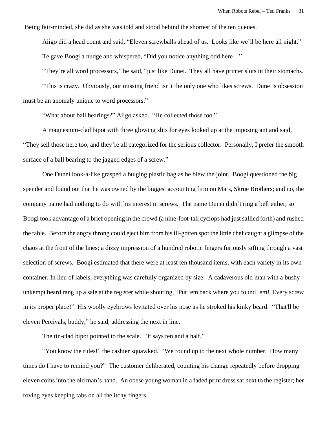Being fair-minded, she did as she was told and stood behind the shortest of the ten queues.

Aiigo did a head count and said, "Eleven screwballs ahead of us. Looks like we'll be here all night." Te gave Boogi a nudge and whispered, "Did you notice anything odd here…"

"They're all word processors," he said, "just like Dunei. They all have printer slots in their stomachs.

"This is crazy. Obviously, our missing friend isn't the only one who likes screws. Dunei's obsession must be an anomaly unique to word processors."

"What about ball bearings?" Aiigo asked. "He collected those too."

A magnesium-clad bipot with three glowing slits for eyes looked up at the imposing ant and said, "They sell those here too, and they're all categorized for the serious collector. Personally, I prefer the smooth surface of a ball bearing to the jagged edges of a screw."

One Dunei look-a-like grasped a bulging plastic bag as he blew the joint. Boogi questioned the big spender and found out that he was owned by the biggest accounting firm on Mars, Skrue Brothers; and no, the company name had nothing to do with his interest in screws. The name Dunei didn't ring a bell either, so Boogi took advantage of a brief opening in the crowd (a nine-foot-tall cyclops had just sallied forth) and rushed the table. Before the angry throng could eject him from his ill-gotten spot the little chef caught a glimpse of the chaos at the front of the lines; a dizzy impression of a hundred robotic fingers furiously sifting through a vast selection of screws. Boogi estimated that there were at least ten thousand items, with each variety in its own container. In lieu of labels, everything was carefully organized by size. A cadaverous old man with a bushy unkempt beard rang up a sale at the register while shouting, "Put 'em back where you found 'em! Every screw in its proper place!" His woolly eyebrows levitated over his nose as he stroked his kinky beard. "That'll be eleven Percivals, buddy," he said, addressing the next in line.

The tin-clad bipot pointed to the scale. "It says ten and a half."

"You know the rules!" the cashier squawked. "We round up to the next whole number. How many times do I have to remind you?" The customer deliberated, counting his change repeatedly before dropping eleven coins into the old man's hand. An obese young woman in a faded print dress sat next to the register; her roving eyes keeping tabs on all the itchy fingers.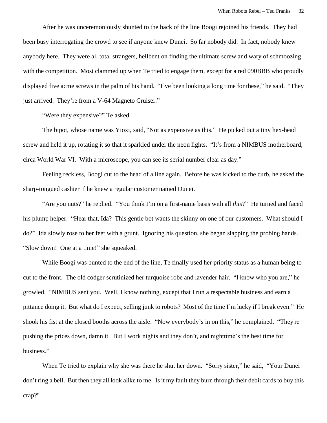After he was unceremoniously shunted to the back of the line Boogi rejoined his friends. They had been busy interrogating the crowd to see if anyone knew Dunei. So far nobody did. In fact, nobody knew anybody here. They were all total strangers, hellbent on finding the ultimate screw and wary of schmoozing with the competition. Most clammed up when Te tried to engage them, except for a red 090BBB who proudly displayed five acme screws in the palm of his hand. "I've been looking a long time for these," he said. "They just arrived. They're from a V-64 Magneto Cruiser."

"Were they expensive?" Te asked.

The bipot, whose name was Yioxi, said, "Not as expensive as this." He picked out a tiny hex-head screw and held it up, rotating it so that it sparkled under the neon lights. "It's from a NIMBUS motherboard, circa World War VI. With a microscope, you can see its serial number clear as day."

Feeling reckless, Boogi cut to the head of a line again. Before he was kicked to the curb, he asked the sharp-tongued cashier if he knew a regular customer named Dunei.

"Are you nuts?" he replied. "You think I'm on a first-name basis with all *this*?" He turned and faced his plump helper. "Hear that, Ida? This gentle bot wants the skinny on one of our customers. What should I do?" Ida slowly rose to her feet with a grunt. Ignoring his question, she began slapping the probing hands. "Slow down! One at a time!" she squeaked.

While Boogi was bunted to the end of the line, Te finally used her priority status as a human being to cut to the front. The old codger scrutinized her turquoise robe and lavender hair. "I know who you are," he growled. "NIMBUS sent you. Well, I know nothing, except that I run a respectable business and earn a pittance doing it. But what do I expect, selling junk to robots? Most of the time I'm lucky if I break even." He shook his fist at the closed booths across the aisle. "Now everybody's in on this," he complained. "They're pushing the prices down, damn it. But I work nights and they don't, and nighttime's the best time for business."

When Te tried to explain why she was there he shut her down. "Sorry sister," he said, "Your Dunei don't ring a bell. But then they all look alike to me. Is it my fault they burn through their debit cards to buy this crap?"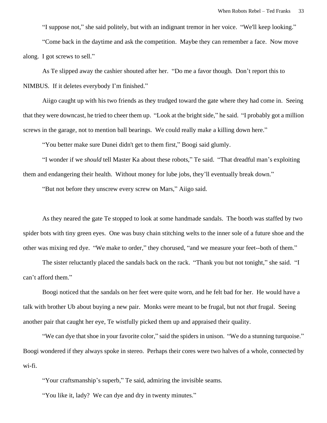"I suppose not," she said politely, but with an indignant tremor in her voice. "We'll keep looking."

"Come back in the daytime and ask the competition. Maybe they can remember a face. Now move along. I got screws to sell."

As Te slipped away the cashier shouted after her. "Do me a favor though. Don't report this to NIMBUS. If it deletes everybody I'm finished."

Aiigo caught up with his two friends as they trudged toward the gate where they had come in. Seeing that they were downcast, he tried to cheer them up. "Look at the bright side," he said. "I probably got a million screws in the garage, not to mention ball bearings. We could really make a killing down here."

"You better make sure Dunei didn't get to them first," Boogi said glumly.

"I wonder if we *should* tell Master Ka about these robots," Te said. "That dreadful man's exploiting them and endangering their health. Without money for lube jobs, they'll eventually break down."

"But not before they unscrew every screw on Mars," Aiigo said.

As they neared the gate Te stopped to look at some handmade sandals. The booth was staffed by two spider bots with tiny green eyes. One was busy chain stitching welts to the inner sole of a future shoe and the other was mixing red dye. "We make to order," they chorused, "and we measure your feet--both of them."

The sister reluctantly placed the sandals back on the rack. "Thank you but not tonight," she said. "I can't afford them."

Boogi noticed that the sandals on her feet were quite worn, and he felt bad for her. He would have a talk with brother Ub about buying a new pair. Monks were meant to be frugal, but not *that* frugal. Seeing another pair that caught her eye, Te wistfully picked them up and appraised their quality.

"We can dye that shoe in your favorite color," said the spiders in unison. "We do a stunning turquoise." Boogi wondered if they always spoke in stereo. Perhaps their cores were two halves of a whole, connected by wi-fi.

"Your craftsmanship's superb," Te said, admiring the invisible seams.

"You like it, lady? We can dye and dry in twenty minutes."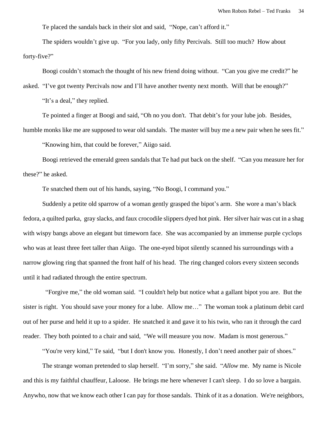Te placed the sandals back in their slot and said, "Nope, can't afford it."

The spiders wouldn't give up. "For you lady, only fifty Percivals. Still too much? How about forty-five?"

Boogi couldn't stomach the thought of his new friend doing without. "Can you give me credit?" he

asked. "I've got twenty Percivals now and I'll have another twenty next month. Will that be enough?"

"It's a deal," they replied.

Te pointed a finger at Boogi and said, "Oh no you don't. That debit's for your lube job. Besides,

humble monks like me are supposed to wear old sandals. The master will buy me a new pair when he sees fit."

"Knowing him, that could be forever," Aiigo said.

Boogi retrieved the emerald green sandals that Te had put back on the shelf. "Can you measure her for these?" he asked.

Te snatched them out of his hands, saying, "No Boogi, I command you."

Suddenly a petite old sparrow of a woman gently grasped the bipot's arm. She wore a man's black fedora, a quilted parka, gray slacks, and faux crocodile slippers dyed hot pink. Her silver hair was cut in a shag with wispy bangs above an elegant but timeworn face. She was accompanied by an immense purple cyclops who was at least three feet taller than Aiigo. The one-eyed bipot silently scanned his surroundings with a narrow glowing ring that spanned the front half of his head. The ring changed colors every sixteen seconds until it had radiated through the entire spectrum.

 "Forgive me," the old woman said. "I couldn't help but notice what a gallant bipot you are. But the sister is right. You should save your money for a lube. Allow me…" The woman took a platinum debit card out of her purse and held it up to a spider. He snatched it and gave it to his twin, who ran it through the card reader. They both pointed to a chair and said, "We will measure you now. Madam is most generous."

"You're very kind," Te said, "but I don't know you. Honestly, I don't need another pair of shoes."

The strange woman pretended to slap herself. "I'm sorry," she said. "*Allow* me. My name is Nicole and this is my faithful chauffeur, Laloose. He brings me here whenever I can't sleep. I do *so* love a bargain. Anywho, now that we know each other I can pay for those sandals. Think of it as a donation. We're neighbors,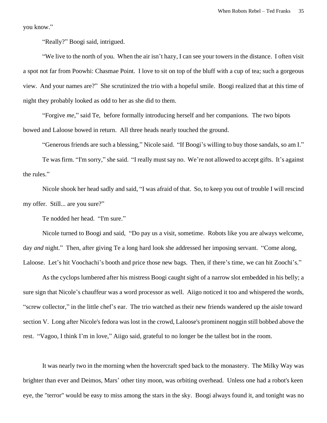you know."

"Really?" Boogi said, intrigued.

"We live to the north of you. When the air isn't hazy, I can see your towers in the distance. I often visit a spot not far from Poowhi: Chasmae Point. I love to sit on top of the bluff with a cup of tea; such a gorgeous view. And your names are?" She scrutinized the trio with a hopeful smile. Boogi realized that at this time of night they probably looked as odd to her as she did to them.

"Forgive *me*," said Te, before formally introducing herself and her companions. The two bipots bowed and Laloose bowed in return. All three heads nearly touched the ground.

"Generous friends are such a blessing," Nicole said. "If Boogi's willing to buy those sandals, so am I."

Te was firm. "I'm sorry," she said. "I really must say no. We're not allowed to accept gifts. It's against the rules."

Nicole shook her head sadly and said, "I was afraid of that. So, to keep you out of trouble I will rescind my offer. Still... are you sure?"

Te nodded her head. "I'm sure."

Nicole turned to Boogi and said, "Do pay us a visit, sometime. Robots like you are always welcome, day *and* night." Then, after giving Te a long hard look she addressed her imposing servant. "Come along, Laloose. Let's hit Voochachi's booth and price those new bags. Then, if there's time, we can hit Zoochi's."

As the cyclops lumbered after his mistress Boogi caught sight of a narrow slot embedded in his belly; a sure sign that Nicole's chauffeur was a word processor as well. Aiigo noticed it too and whispered the words, "screw collector," in the little chef's ear. The trio watched as their new friends wandered up the aisle toward section V. Long after Nicole's fedora was lost in the crowd, Laloose's prominent noggin still bobbed above the rest. "Vagoo, I think I'm in love," Aiigo said, grateful to no longer be the tallest bot in the room.

It was nearly two in the morning when the hovercraft sped back to the monastery. The Milky Way was brighter than ever and Deimos, Mars' other tiny moon, was orbiting overhead. Unless one had a robot's keen eye, the "terror" would be easy to miss among the stars in the sky. Boogi always found it, and tonight was no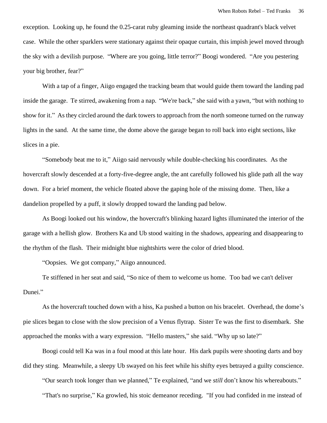exception. Looking up, he found the 0.25-carat ruby gleaming inside the northeast quadrant's black velvet case. While the other sparklers were stationary against their opaque curtain, this impish jewel moved through the sky with a devilish purpose. "Where are you going, little terror?" Boogi wondered. "Are you pestering your big brother, fear?"

With a tap of a finger, Aiigo engaged the tracking beam that would guide them toward the landing pad inside the garage. Te stirred, awakening from a nap. "We're back," she said with a yawn, "but with nothing to show for it." As they circled around the dark towers to approach from the north someone turned on the runway lights in the sand. At the same time, the dome above the garage began to roll back into eight sections, like slices in a pie.

"Somebody beat me to it," Aiigo said nervously while double-checking his coordinates. As the hovercraft slowly descended at a forty-five-degree angle, the ant carefully followed his glide path all the way down. For a brief moment, the vehicle floated above the gaping hole of the missing dome. Then, like a dandelion propelled by a puff, it slowly dropped toward the landing pad below.

As Boogi looked out his window, the hovercraft's blinking hazard lights illuminated the interior of the garage with a hellish glow. Brothers Ka and Ub stood waiting in the shadows, appearing and disappearing to the rhythm of the flash. Their midnight blue nightshirts were the color of dried blood.

"Oopsies. We got company," Aiigo announced.

Te stiffened in her seat and said, "So nice of them to welcome us home. Too bad we can't deliver Dunei."

As the hovercraft touched down with a hiss, Ka pushed a button on his bracelet. Overhead, the dome's pie slices began to close with the slow precision of a Venus flytrap. Sister Te was the first to disembark. She approached the monks with a wary expression. "Hello masters," she said. "Why up so late?"

Boogi could tell Ka was in a foul mood at this late hour. His dark pupils were shooting darts and boy did they sting. Meanwhile, a sleepy Ub swayed on his feet while his shifty eyes betrayed a guilty conscience.

"Our search took longer than we planned," Te explained, "and we *still* don't know his whereabouts."

"That's no surprise," Ka growled, his stoic demeanor receding. "If you had confided in me instead of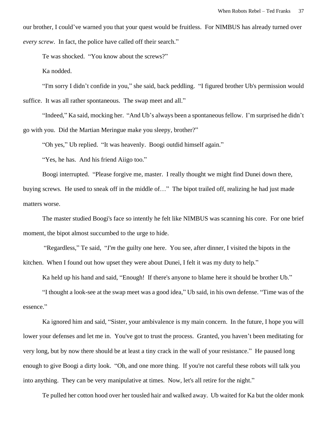our brother, I could've warned you that your quest would be fruitless. For NIMBUS has already turned over *every screw*. In fact, the police have called off their search."

Te was shocked. "You know about the screws?"

Ka nodded.

"I'm sorry I didn't confide in you," she said, back peddling. "I figured brother Ub's permission would suffice. It was all rather spontaneous. The swap meet and all."

"Indeed," Ka said, mocking her. "And Ub's always been a spontaneous fellow. I'm surprised he didn't go with you. Did the Martian Meringue make you sleepy, brother?"

"Oh yes," Ub replied. "It was heavenly. Boogi outdid himself again."

"Yes, he has. And his friend Aiigo too."

Boogi interrupted. "Please forgive me, master. I really thought we might find Dunei down there,

buying screws. He used to sneak off in the middle of…" The bipot trailed off, realizing he had just made matters worse.

The master studied Boogi's face so intently he felt like NIMBUS was scanning his core. For one brief moment, the bipot almost succumbed to the urge to hide.

"Regardless," Te said, "*I'm* the guilty one here. You see, after dinner, I visited the bipots in the kitchen. When I found out how upset they were about Dunei, I felt it was my duty to help."

Ka held up his hand and said, "Enough! If there's anyone to blame here it should be brother Ub."

"I thought a look-see at the swap meet was a good idea," Ub said, in his own defense. "Time was of the essence."

Ka ignored him and said, "Sister, your ambivalence is my main concern. In the future, I hope you will lower your defenses and let me in. You've got to trust the process. Granted, you haven't been meditating for very long, but by now there should be at least a tiny crack in the wall of your resistance." He paused long enough to give Boogi a dirty look. "Oh, and one more thing. If you're not careful these robots will talk you into anything. They can be very manipulative at times. Now, let's all retire for the night."

Te pulled her cotton hood over her tousled hair and walked away. Ub waited for Ka but the older monk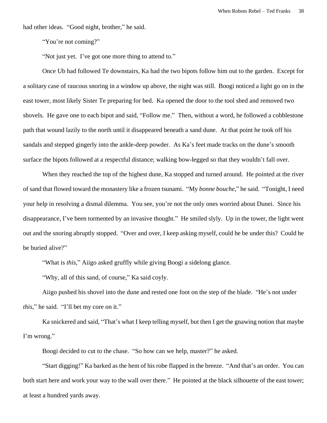had other ideas. "Good night, brother," he said.

"You're not coming?"

"Not just yet. I've got one more thing to attend to."

Once Ub had followed Te downstairs, Ka had the two bipots follow him out to the garden. Except for a solitary case of raucous snoring in a window up above, the night was still. Boogi noticed a light go on in the east tower, most likely Sister Te preparing for bed. Ka opened the door to the tool shed and removed two shovels. He gave one to each bipot and said, "Follow me." Then, without a word, he followed a cobblestone path that wound lazily to the north until it disappeared beneath a sand dune. At that point he took off his sandals and stepped gingerly into the ankle-deep powder. As Ka's feet made tracks on the dune's smooth surface the bipots followed at a respectful distance; walking bow-legged so that they wouldn't fall over.

When they reached the top of the highest dune, Ka stopped and turned around. He pointed at the river of sand that flowed toward the monastery like a frozen tsunami. "My *bonne bouche*," he said. "Tonight, I need your help in resolving a dismal dilemma. You see, you're not the only ones worried about Dunei. Since his disappearance, I've been tormented by an invasive thought." He smiled slyly. Up in the tower, the light went out and the snoring abruptly stopped. "Over and over, I keep asking myself, could he be under this? Could he be buried alive?"

"What is *this*," Aiigo asked gruffly while giving Boogi a sidelong glance.

"Why, all of this sand, of course," Ka said coyly.

Aiigo pushed his shovel into the dune and rested one foot on the step of the blade. "He's not under *this*," he said. "I'll bet my core on it."

Ka snickered and said, "That's what I keep telling myself, but then I get the gnawing notion that maybe I'm wrong."

Boogi decided to cut to the chase. "So how can we help, master?" he asked.

"Start digging!" Ka barked as the hem of his robe flapped in the breeze. "And that's an order. You can both start here and work your way to the wall over there." He pointed at the black silhouette of the east tower; at least a hundred yards away.